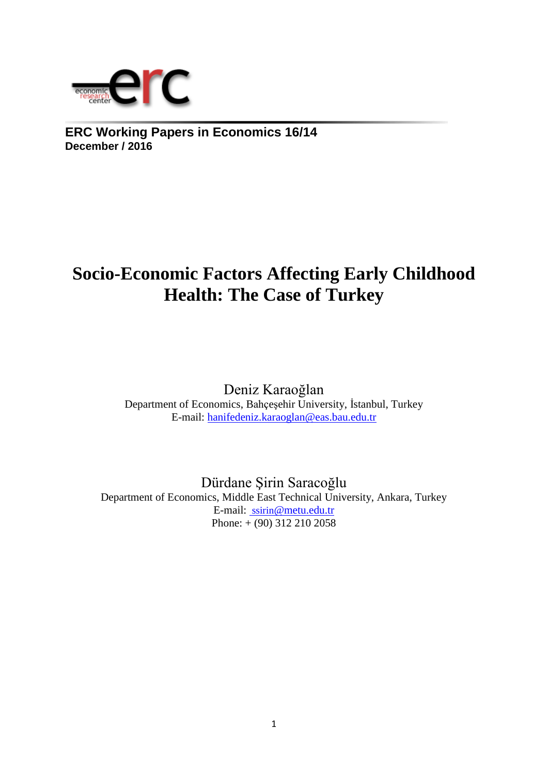

**ERC Working Papers in Economics 16/14 December / 2016**

# **Socio-Economic Factors Affecting Early Childhood Health: The Case of Turkey**

Deniz Karaoğlan Department of Economics, Bahçeşehir University, İstanbul, Turkey E-mail: [hanifedeniz.karaoglan@eas.bau.edu.tr](mailto:hanifedeniz.karaoglan@eas.bau.edu.tr)

Dürdane Şirin Saracoğlu Department of Economics, Middle East Technical University, Ankara, Turkey E-mail: ssirin[@metu.edu.tr](mailto:%20ssirin@metu.edu.tr)  Phone: + (90) 312 210 2058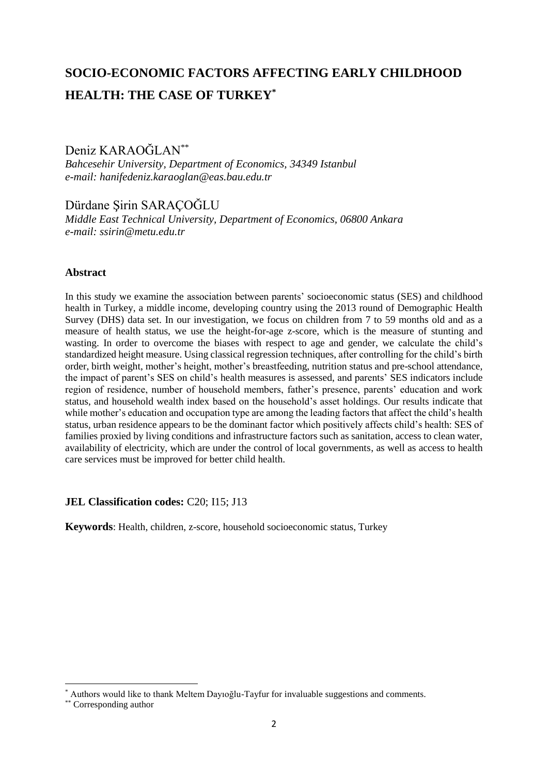## **SOCIO-ECONOMIC FACTORS AFFECTING EARLY CHILDHOOD HEALTH: THE CASE OF TURKEY\***

Deniz KARAOĞLAN\*\*

*Bahcesehir University, Department of Economics, 34349 Istanbul e-mail: hanifedeniz.karaoglan@eas.bau.edu.tr*

Dürdane Şirin SARAÇOĞLU *Middle East Technical University, Department of Economics, 06800 Ankara e-mail: ssirin@metu.edu.tr*

## **Abstract**

In this study we examine the association between parents' socioeconomic status (SES) and childhood health in Turkey, a middle income, developing country using the 2013 round of Demographic Health Survey (DHS) data set. In our investigation, we focus on children from 7 to 59 months old and as a measure of health status, we use the height-for-age z-score, which is the measure of stunting and wasting. In order to overcome the biases with respect to age and gender, we calculate the child's standardized height measure. Using classical regression techniques, after controlling for the child's birth order, birth weight, mother's height, mother's breastfeeding, nutrition status and pre-school attendance, the impact of parent's SES on child's health measures is assessed, and parents' SES indicators include region of residence, number of household members, father's presence, parents' education and work status, and household wealth index based on the household's asset holdings. Our results indicate that while mother's education and occupation type are among the leading factors that affect the child's health status, urban residence appears to be the dominant factor which positively affects child's health: SES of families proxied by living conditions and infrastructure factors such as sanitation, access to clean water, availability of electricity, which are under the control of local governments, as well as access to health care services must be improved for better child health.

## **JEL Classification codes: C20: I15: J13**

**Keywords**: Health, children, z-score, household socioeconomic status, Turkey

**.** 

<sup>\*</sup> Authors would like to thank Meltem Dayıoğlu-Tayfur for invaluable suggestions and comments.

<sup>\*\*</sup> Corresponding author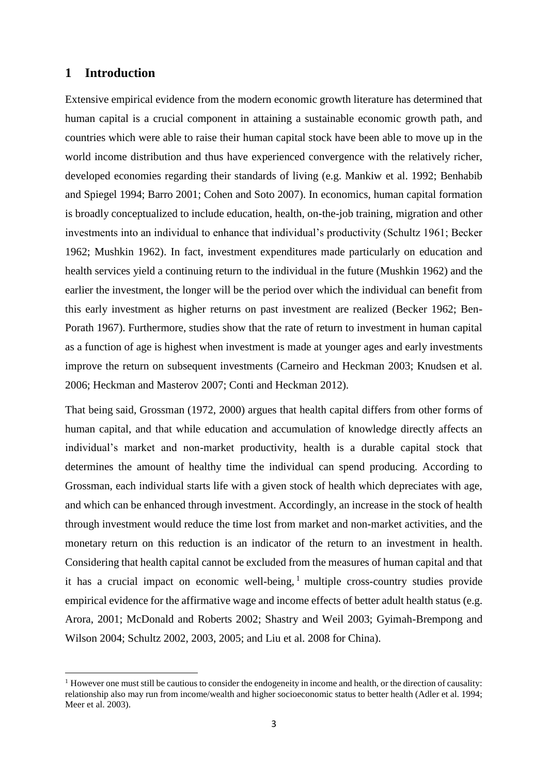## **1 Introduction**

1

Extensive empirical evidence from the modern economic growth literature has determined that human capital is a crucial component in attaining a sustainable economic growth path, and countries which were able to raise their human capital stock have been able to move up in the world income distribution and thus have experienced convergence with the relatively richer, developed economies regarding their standards of living (e.g. Mankiw et al. 1992; Benhabib and Spiegel 1994; Barro 2001; Cohen and Soto 2007). In economics, human capital formation is broadly conceptualized to include education, health, on-the-job training, migration and other investments into an individual to enhance that individual's productivity (Schultz 1961; Becker 1962; Mushkin 1962). In fact, investment expenditures made particularly on education and health services yield a continuing return to the individual in the future (Mushkin 1962) and the earlier the investment, the longer will be the period over which the individual can benefit from this early investment as higher returns on past investment are realized (Becker 1962; Ben-Porath 1967). Furthermore, studies show that the rate of return to investment in human capital as a function of age is highest when investment is made at younger ages and early investments improve the return on subsequent investments (Carneiro and Heckman 2003; Knudsen et al. 2006; Heckman and Masterov 2007; Conti and Heckman 2012).

That being said, Grossman (1972, 2000) argues that health capital differs from other forms of human capital, and that while education and accumulation of knowledge directly affects an individual's market and non-market productivity, health is a durable capital stock that determines the amount of healthy time the individual can spend producing. According to Grossman, each individual starts life with a given stock of health which depreciates with age, and which can be enhanced through investment. Accordingly, an increase in the stock of health through investment would reduce the time lost from market and non-market activities, and the monetary return on this reduction is an indicator of the return to an investment in health. Considering that health capital cannot be excluded from the measures of human capital and that it has a crucial impact on economic well-being,  $\frac{1}{1}$  multiple cross-country studies provide empirical evidence for the affirmative wage and income effects of better adult health status (e.g. Arora, 2001; McDonald and Roberts 2002; Shastry and Weil 2003; Gyimah-Brempong and Wilson 2004; Schultz 2002, 2003, 2005; and Liu et al. 2008 for China).

<sup>&</sup>lt;sup>1</sup> However one must still be cautious to consider the endogeneity in income and health, or the direction of causality: relationship also may run from income/wealth and higher socioeconomic status to better health (Adler et al. 1994; Meer et al. 2003).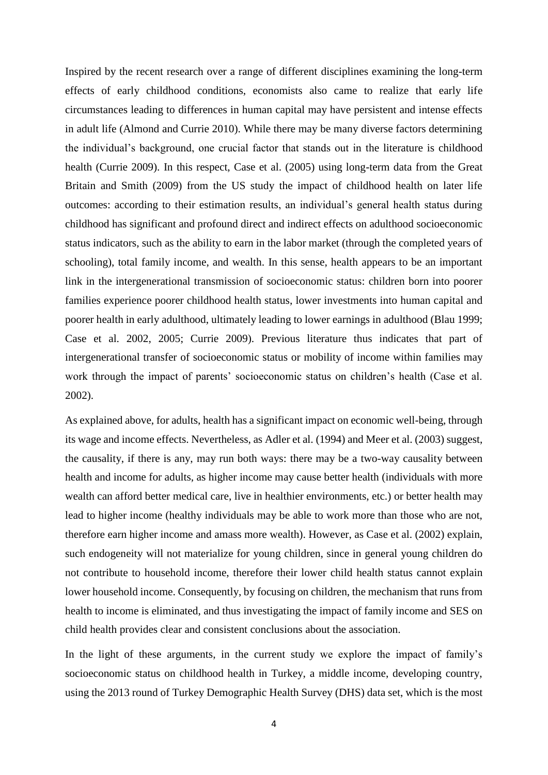Inspired by the recent research over a range of different disciplines examining the long-term effects of early childhood conditions, economists also came to realize that early life circumstances leading to differences in human capital may have persistent and intense effects in adult life (Almond and Currie 2010). While there may be many diverse factors determining the individual's background, one crucial factor that stands out in the literature is childhood health (Currie 2009). In this respect, Case et al. (2005) using long-term data from the Great Britain and Smith (2009) from the US study the impact of childhood health on later life outcomes: according to their estimation results, an individual's general health status during childhood has significant and profound direct and indirect effects on adulthood socioeconomic status indicators, such as the ability to earn in the labor market (through the completed years of schooling), total family income, and wealth. In this sense, health appears to be an important link in the intergenerational transmission of socioeconomic status: children born into poorer families experience poorer childhood health status, lower investments into human capital and poorer health in early adulthood, ultimately leading to lower earnings in adulthood (Blau 1999; Case et al. 2002, 2005; Currie 2009). Previous literature thus indicates that part of intergenerational transfer of socioeconomic status or mobility of income within families may work through the impact of parents' socioeconomic status on children's health (Case et al. 2002).

As explained above, for adults, health has a significant impact on economic well-being, through its wage and income effects. Nevertheless, as Adler et al. (1994) and Meer et al. (2003) suggest, the causality, if there is any, may run both ways: there may be a two-way causality between health and income for adults, as higher income may cause better health (individuals with more wealth can afford better medical care, live in healthier environments, etc.) or better health may lead to higher income (healthy individuals may be able to work more than those who are not, therefore earn higher income and amass more wealth). However, as Case et al. (2002) explain, such endogeneity will not materialize for young children, since in general young children do not contribute to household income, therefore their lower child health status cannot explain lower household income. Consequently, by focusing on children, the mechanism that runs from health to income is eliminated, and thus investigating the impact of family income and SES on child health provides clear and consistent conclusions about the association.

In the light of these arguments, in the current study we explore the impact of family's socioeconomic status on childhood health in Turkey, a middle income, developing country, using the 2013 round of Turkey Demographic Health Survey (DHS) data set, which is the most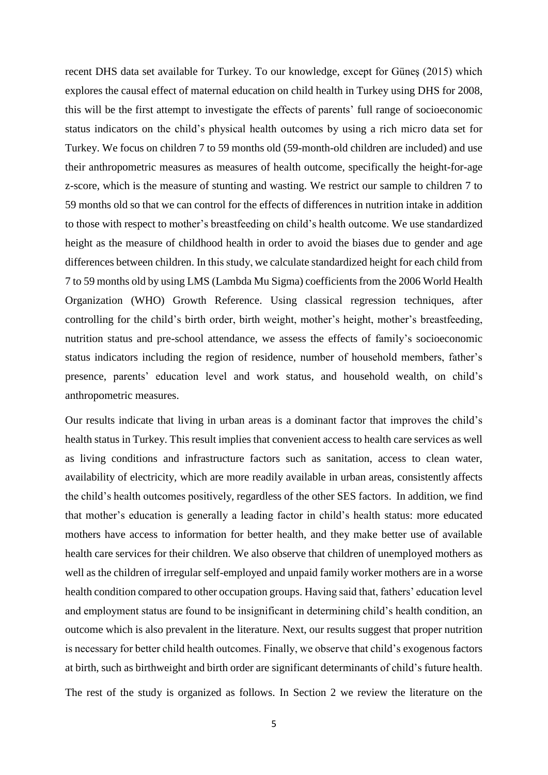recent DHS data set available for Turkey. To our knowledge, except for Güneş (2015) which explores the causal effect of maternal education on child health in Turkey using DHS for 2008, this will be the first attempt to investigate the effects of parents' full range of socioeconomic status indicators on the child's physical health outcomes by using a rich micro data set for Turkey. We focus on children 7 to 59 months old (59-month-old children are included) and use their anthropometric measures as measures of health outcome, specifically the height-for-age z-score, which is the measure of stunting and wasting. We restrict our sample to children 7 to 59 months old so that we can control for the effects of differences in nutrition intake in addition to those with respect to mother's breastfeeding on child's health outcome. We use standardized height as the measure of childhood health in order to avoid the biases due to gender and age differences between children. In this study, we calculate standardized height for each child from 7 to 59 months old by using LMS (Lambda Mu Sigma) coefficients from the 2006 World Health Organization (WHO) Growth Reference. Using classical regression techniques, after controlling for the child's birth order, birth weight, mother's height, mother's breastfeeding, nutrition status and pre-school attendance, we assess the effects of family's socioeconomic status indicators including the region of residence, number of household members, father's presence, parents' education level and work status, and household wealth, on child's anthropometric measures.

Our results indicate that living in urban areas is a dominant factor that improves the child's health status in Turkey. This result implies that convenient access to health care services as well as living conditions and infrastructure factors such as sanitation, access to clean water, availability of electricity, which are more readily available in urban areas, consistently affects the child's health outcomes positively, regardless of the other SES factors. In addition, we find that mother's education is generally a leading factor in child's health status: more educated mothers have access to information for better health, and they make better use of available health care services for their children. We also observe that children of unemployed mothers as well as the children of irregular self-employed and unpaid family worker mothers are in a worse health condition compared to other occupation groups. Having said that, fathers' education level and employment status are found to be insignificant in determining child's health condition, an outcome which is also prevalent in the literature. Next, our results suggest that proper nutrition is necessary for better child health outcomes. Finally, we observe that child's exogenous factors at birth, such as birthweight and birth order are significant determinants of child's future health. The rest of the study is organized as follows. In Section 2 we review the literature on the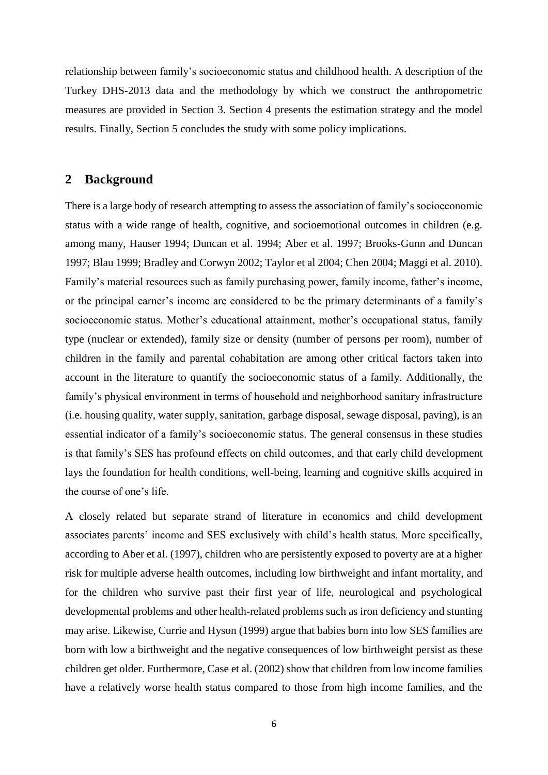relationship between family's socioeconomic status and childhood health. A description of the Turkey DHS-2013 data and the methodology by which we construct the anthropometric measures are provided in Section 3. Section 4 presents the estimation strategy and the model results. Finally, Section 5 concludes the study with some policy implications.

## **2 Background**

There is a large body of research attempting to assess the association of family's socioeconomic status with a wide range of health, cognitive, and socioemotional outcomes in children (e.g. among many, Hauser 1994; Duncan et al. 1994; Aber et al. 1997; Brooks-Gunn and Duncan 1997; Blau 1999; Bradley and Corwyn 2002; Taylor et al 2004; Chen 2004; Maggi et al. 2010). Family's material resources such as family purchasing power, family income, father's income, or the principal earner's income are considered to be the primary determinants of a family's socioeconomic status. Mother's educational attainment, mother's occupational status, family type (nuclear or extended), family size or density (number of persons per room), number of children in the family and parental cohabitation are among other critical factors taken into account in the literature to quantify the socioeconomic status of a family. Additionally, the family's physical environment in terms of household and neighborhood sanitary infrastructure (i.e. housing quality, water supply, sanitation, garbage disposal, sewage disposal, paving), is an essential indicator of a family's socioeconomic status. The general consensus in these studies is that family's SES has profound effects on child outcomes, and that early child development lays the foundation for health conditions, well-being, learning and cognitive skills acquired in the course of one's life.

A closely related but separate strand of literature in economics and child development associates parents' income and SES exclusively with child's health status. More specifically, according to Aber et al. (1997), children who are persistently exposed to poverty are at a higher risk for multiple adverse health outcomes, including low birthweight and infant mortality, and for the children who survive past their first year of life, neurological and psychological developmental problems and other health-related problems such as iron deficiency and stunting may arise. Likewise, Currie and Hyson (1999) argue that babies born into low SES families are born with low a birthweight and the negative consequences of low birthweight persist as these children get older. Furthermore, Case et al. (2002) show that children from low income families have a relatively worse health status compared to those from high income families, and the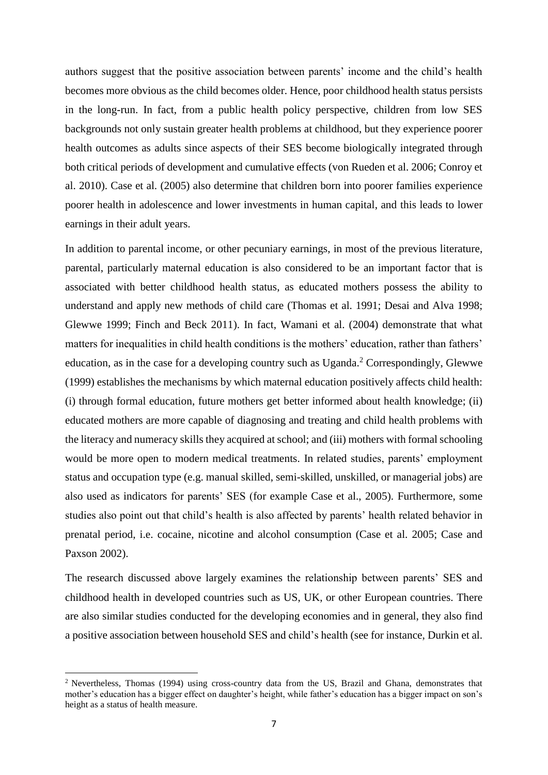authors suggest that the positive association between parents' income and the child's health becomes more obvious as the child becomes older. Hence, poor childhood health status persists in the long-run. In fact, from a public health policy perspective, children from low SES backgrounds not only sustain greater health problems at childhood, but they experience poorer health outcomes as adults since aspects of their SES become biologically integrated through both critical periods of development and cumulative effects (von Rueden et al. 2006; Conroy et al. 2010). Case et al. (2005) also determine that children born into poorer families experience poorer health in adolescence and lower investments in human capital, and this leads to lower earnings in their adult years.

In addition to parental income, or other pecuniary earnings, in most of the previous literature, parental, particularly maternal education is also considered to be an important factor that is associated with better childhood health status, as educated mothers possess the ability to understand and apply new methods of child care (Thomas et al. 1991; Desai and Alva 1998; Glewwe 1999; Finch and Beck 2011). In fact, Wamani et al. (2004) demonstrate that what matters for inequalities in child health conditions is the mothers' education, rather than fathers' education, as in the case for a developing country such as Uganda.<sup>2</sup> Correspondingly, Glewwe (1999) establishes the mechanisms by which maternal education positively affects child health: (i) through formal education, future mothers get better informed about health knowledge; (ii) educated mothers are more capable of diagnosing and treating and child health problems with the literacy and numeracy skills they acquired at school; and (iii) mothers with formal schooling would be more open to modern medical treatments. In related studies, parents' employment status and occupation type (e.g. manual skilled, semi-skilled, unskilled, or managerial jobs) are also used as indicators for parents' SES (for example Case et al., 2005). Furthermore, some studies also point out that child's health is also affected by parents' health related behavior in prenatal period, i.e. cocaine, nicotine and alcohol consumption (Case et al. 2005; Case and Paxson 2002).

The research discussed above largely examines the relationship between parents' SES and childhood health in developed countries such as US, UK, or other European countries. There are also similar studies conducted for the developing economies and in general, they also find a positive association between household SES and child's health (see for instance, Durkin et al.

1

<sup>&</sup>lt;sup>2</sup> Nevertheless, Thomas (1994) using cross-country data from the US, Brazil and Ghana, demonstrates that mother's education has a bigger effect on daughter's height, while father's education has a bigger impact on son's height as a status of health measure.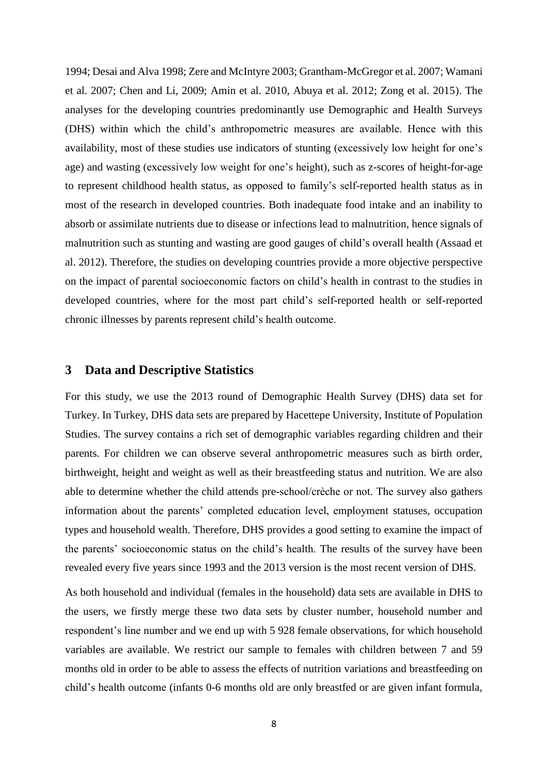1994; Desai and Alva 1998; Zere and McIntyre 2003; Grantham-McGregor et al. 2007; Wamani et al. 2007; Chen and Li, 2009; Amin et al. 2010, Abuya et al. 2012; Zong et al. 2015). The analyses for the developing countries predominantly use Demographic and Health Surveys (DHS) within which the child's anthropometric measures are available. Hence with this availability, most of these studies use indicators of stunting (excessively low height for one's age) and wasting (excessively low weight for one's height), such as z-scores of height-for-age to represent childhood health status, as opposed to family's self-reported health status as in most of the research in developed countries. Both inadequate food intake and an inability to absorb or assimilate nutrients due to disease or infections lead to malnutrition, hence signals of malnutrition such as stunting and wasting are good gauges of child's overall health (Assaad et al. 2012). Therefore, the studies on developing countries provide a more objective perspective on the impact of parental socioeconomic factors on child's health in contrast to the studies in developed countries, where for the most part child's self-reported health or self-reported chronic illnesses by parents represent child's health outcome.

#### **3 Data and Descriptive Statistics**

For this study, we use the 2013 round of Demographic Health Survey (DHS) data set for Turkey. In Turkey, DHS data sets are prepared by Hacettepe University, Institute of Population Studies. The survey contains a rich set of demographic variables regarding children and their parents. For children we can observe several anthropometric measures such as birth order, birthweight, height and weight as well as their breastfeeding status and nutrition. We are also able to determine whether the child attends pre-school/crèche or not. The survey also gathers information about the parents' completed education level, employment statuses, occupation types and household wealth. Therefore, DHS provides a good setting to examine the impact of the parents' socioeconomic status on the child's health. The results of the survey have been revealed every five years since 1993 and the 2013 version is the most recent version of DHS.

As both household and individual (females in the household) data sets are available in DHS to the users, we firstly merge these two data sets by cluster number, household number and respondent's line number and we end up with 5 928 female observations, for which household variables are available. We restrict our sample to females with children between 7 and 59 months old in order to be able to assess the effects of nutrition variations and breastfeeding on child's health outcome (infants 0-6 months old are only breastfed or are given infant formula,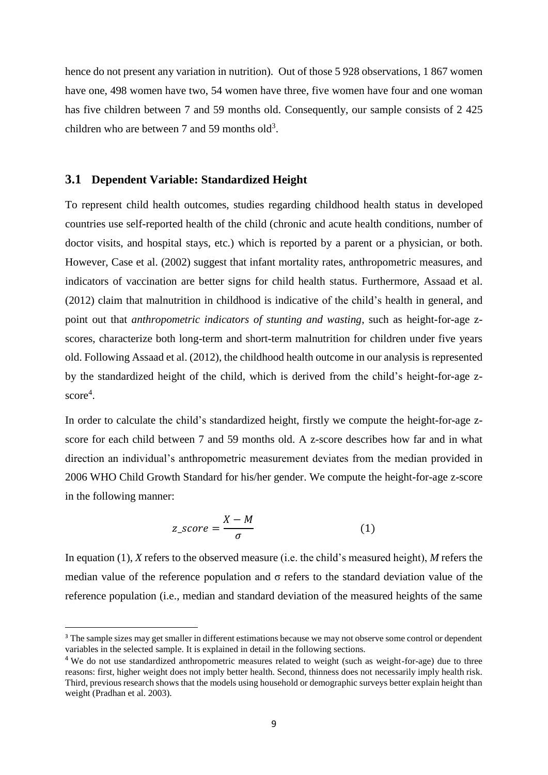hence do not present any variation in nutrition). Out of those 5 928 observations, 1 867 women have one, 498 women have two, 54 women have three, five women have four and one woman has five children between 7 and 59 months old. Consequently, our sample consists of 2 425 children who are between 7 and 59 months old<sup>3</sup>.

#### **3.1 Dependent Variable: Standardized Height**

**.** 

To represent child health outcomes, studies regarding childhood health status in developed countries use self-reported health of the child (chronic and acute health conditions, number of doctor visits, and hospital stays, etc.) which is reported by a parent or a physician, or both. However, Case et al. (2002) suggest that infant mortality rates, anthropometric measures, and indicators of vaccination are better signs for child health status. Furthermore, Assaad et al. (2012) claim that malnutrition in childhood is indicative of the child's health in general, and point out that *anthropometric indicators of stunting and wasting*, such as height-for-age zscores, characterize both long-term and short-term malnutrition for children under five years old. Following Assaad et al. (2012), the childhood health outcome in our analysis is represented by the standardized height of the child, which is derived from the child's height-for-age zscore<sup>4</sup>.

In order to calculate the child's standardized height, firstly we compute the height-for-age zscore for each child between 7 and 59 months old. A z-score describes how far and in what direction an individual's anthropometric measurement deviates from the median provided in 2006 WHO Child Growth Standard for his/her gender. We compute the height-for-age z-score in the following manner:

$$
z\_score = \frac{X - M}{\sigma} \tag{1}
$$

In equation (1), *X* refers to the observed measure (i.e. the child's measured height), *M* refers the median value of the reference population and  $\sigma$  refers to the standard deviation value of the reference population (i.e., median and standard deviation of the measured heights of the same

<sup>&</sup>lt;sup>3</sup> The sample sizes may get smaller in different estimations because we may not observe some control or dependent variables in the selected sample. It is explained in detail in the following sections.

<sup>4</sup> We do not use standardized anthropometric measures related to weight (such as weight-for-age) due to three reasons: first, higher weight does not imply better health. Second, thinness does not necessarily imply health risk. Third, previous research shows that the models using household or demographic surveys better explain height than weight (Pradhan et al. 2003).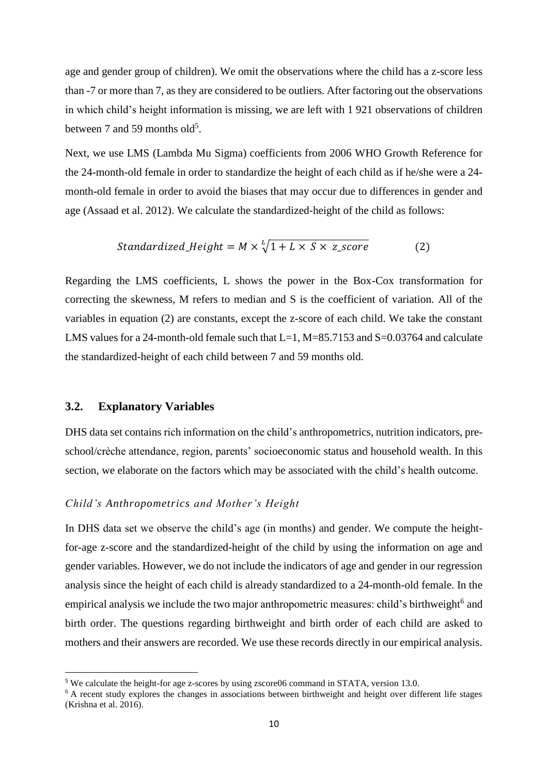age and gender group of children). We omit the observations where the child has a z-score less than -7 or more than 7, as they are considered to be outliers. After factoring out the observations in which child's height information is missing, we are left with 1 921 observations of children between 7 and 59 months old<sup>5</sup>.

Next, we use LMS (Lambda Mu Sigma) coefficients from 2006 WHO Growth Reference for the 24-month-old female in order to standardize the height of each child as if he/she were a 24 month-old female in order to avoid the biases that may occur due to differences in gender and age (Assaad et al. 2012). We calculate the standardized-height of the child as follows:

Standardized\_Height = 
$$
M \times \sqrt[1]{1 + L \times S \times z\_score}
$$
 (2)

Regarding the LMS coefficients, L shows the power in the Box-Cox transformation for correcting the skewness, M refers to median and S is the coefficient of variation. All of the variables in equation (2) are constants, except the z-score of each child. We take the constant LMS values for a 24-month-old female such that  $L=1$ ,  $M=85.7153$  and  $S=0.03764$  and calculate the standardized-height of each child between 7 and 59 months old.

#### **3.2. Explanatory Variables**

 $\overline{a}$ 

DHS data set contains rich information on the child's anthropometrics, nutrition indicators, preschool/crèche attendance, region, parents' socioeconomic status and household wealth. In this section, we elaborate on the factors which may be associated with the child's health outcome.

#### *Child's Anthropometrics and Mother's Height*

In DHS data set we observe the child's age (in months) and gender. We compute the heightfor-age z-score and the standardized-height of the child by using the information on age and gender variables. However, we do not include the indicators of age and gender in our regression analysis since the height of each child is already standardized to a 24-month-old female. In the empirical analysis we include the two major anthropometric measures: child's birthweight<sup>6</sup> and birth order. The questions regarding birthweight and birth order of each child are asked to mothers and their answers are recorded. We use these records directly in our empirical analysis.

<sup>&</sup>lt;sup>5</sup> We calculate the height-for age z-scores by using zscore06 command in STATA, version 13.0.

<sup>&</sup>lt;sup>6</sup> A recent study explores the changes in associations between birthweight and height over different life stages (Krishna et al. 2016).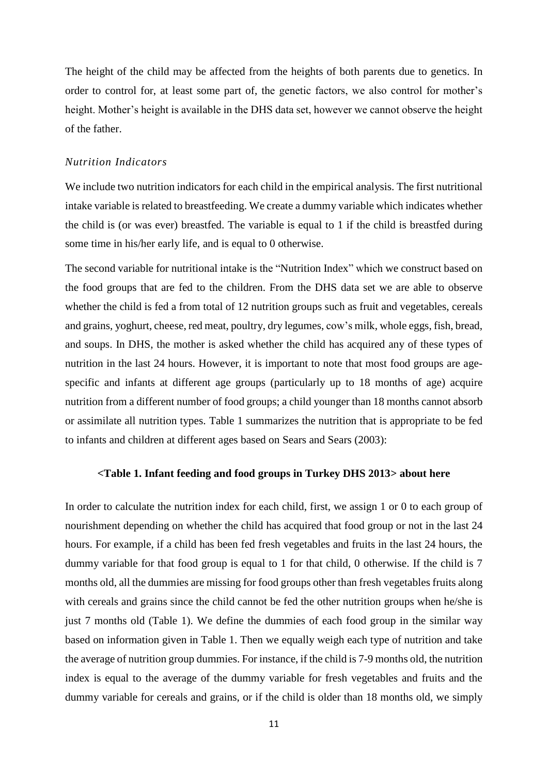The height of the child may be affected from the heights of both parents due to genetics. In order to control for, at least some part of, the genetic factors, we also control for mother's height. Mother's height is available in the DHS data set, however we cannot observe the height of the father.

#### *Nutrition Indicators*

We include two nutrition indicators for each child in the empirical analysis. The first nutritional intake variable is related to breastfeeding. We create a dummy variable which indicates whether the child is (or was ever) breastfed. The variable is equal to 1 if the child is breastfed during some time in his/her early life, and is equal to 0 otherwise.

The second variable for nutritional intake is the "Nutrition Index" which we construct based on the food groups that are fed to the children. From the DHS data set we are able to observe whether the child is fed a from total of 12 nutrition groups such as fruit and vegetables, cereals and grains, yoghurt, cheese, red meat, poultry, dry legumes, cow's milk, whole eggs, fish, bread, and soups. In DHS, the mother is asked whether the child has acquired any of these types of nutrition in the last 24 hours. However, it is important to note that most food groups are agespecific and infants at different age groups (particularly up to 18 months of age) acquire nutrition from a different number of food groups; a child younger than 18 months cannot absorb or assimilate all nutrition types. Table 1 summarizes the nutrition that is appropriate to be fed to infants and children at different ages based on Sears and Sears (2003):

#### **<Table 1. Infant feeding and food groups in Turkey DHS 2013> about here**

In order to calculate the nutrition index for each child, first, we assign 1 or 0 to each group of nourishment depending on whether the child has acquired that food group or not in the last 24 hours. For example, if a child has been fed fresh vegetables and fruits in the last 24 hours, the dummy variable for that food group is equal to 1 for that child, 0 otherwise. If the child is 7 months old, all the dummies are missing for food groups other than fresh vegetables fruits along with cereals and grains since the child cannot be fed the other nutrition groups when he/she is just 7 months old (Table 1). We define the dummies of each food group in the similar way based on information given in Table 1. Then we equally weigh each type of nutrition and take the average of nutrition group dummies. For instance, if the child is 7-9 months old, the nutrition index is equal to the average of the dummy variable for fresh vegetables and fruits and the dummy variable for cereals and grains, or if the child is older than 18 months old, we simply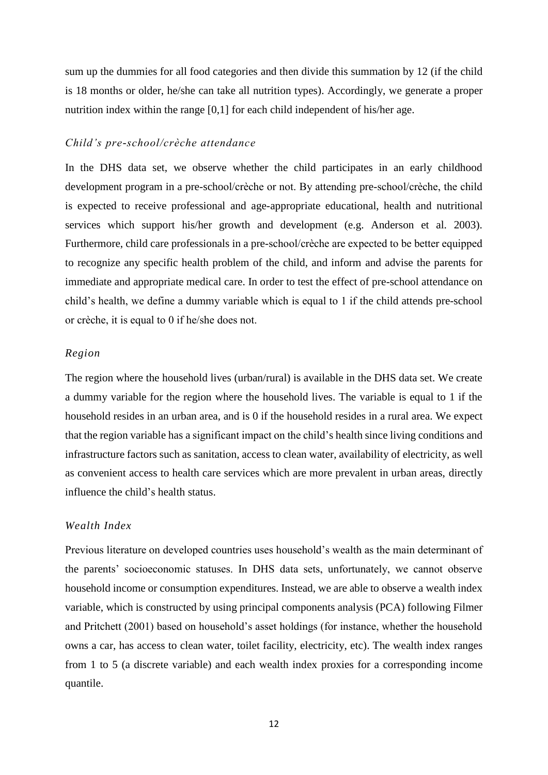sum up the dummies for all food categories and then divide this summation by 12 (if the child is 18 months or older, he/she can take all nutrition types). Accordingly, we generate a proper nutrition index within the range [0,1] for each child independent of his/her age.

#### *Child's pre-school/crèche attendance*

In the DHS data set, we observe whether the child participates in an early childhood development program in a pre-school/crèche or not. By attending pre-school/crèche, the child is expected to receive professional and age-appropriate educational, health and nutritional services which support his/her growth and development (e.g. Anderson et al. 2003). Furthermore, child care professionals in a pre-school/crèche are expected to be better equipped to recognize any specific health problem of the child, and inform and advise the parents for immediate and appropriate medical care. In order to test the effect of pre-school attendance on child's health, we define a dummy variable which is equal to 1 if the child attends pre-school or crèche, it is equal to 0 if he/she does not.

#### *Region*

The region where the household lives (urban/rural) is available in the DHS data set. We create a dummy variable for the region where the household lives. The variable is equal to 1 if the household resides in an urban area, and is 0 if the household resides in a rural area. We expect that the region variable has a significant impact on the child's health since living conditions and infrastructure factors such as sanitation, access to clean water, availability of electricity, as well as convenient access to health care services which are more prevalent in urban areas, directly influence the child's health status.

#### *Wealth Index*

Previous literature on developed countries uses household's wealth as the main determinant of the parents' socioeconomic statuses. In DHS data sets, unfortunately, we cannot observe household income or consumption expenditures. Instead, we are able to observe a wealth index variable, which is constructed by using principal components analysis (PCA) following Filmer and Pritchett (2001) based on household's asset holdings (for instance, whether the household owns a car, has access to clean water, toilet facility, electricity, etc). The wealth index ranges from 1 to 5 (a discrete variable) and each wealth index proxies for a corresponding income quantile.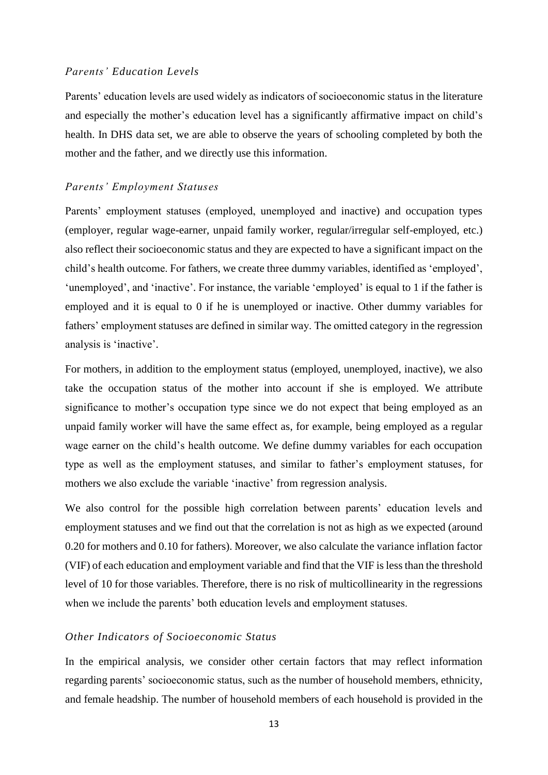#### *Parents' Education Levels*

Parents' education levels are used widely as indicators of socioeconomic status in the literature and especially the mother's education level has a significantly affirmative impact on child's health. In DHS data set, we are able to observe the years of schooling completed by both the mother and the father, and we directly use this information.

#### *Parents' Employment Statuses*

Parents' employment statuses (employed, unemployed and inactive) and occupation types (employer, regular wage-earner, unpaid family worker, regular/irregular self-employed, etc.) also reflect their socioeconomic status and they are expected to have a significant impact on the child's health outcome. For fathers, we create three dummy variables, identified as 'employed', 'unemployed', and 'inactive'. For instance, the variable 'employed' is equal to 1 if the father is employed and it is equal to 0 if he is unemployed or inactive. Other dummy variables for fathers' employment statuses are defined in similar way. The omitted category in the regression analysis is 'inactive'.

For mothers, in addition to the employment status (employed, unemployed, inactive), we also take the occupation status of the mother into account if she is employed. We attribute significance to mother's occupation type since we do not expect that being employed as an unpaid family worker will have the same effect as, for example, being employed as a regular wage earner on the child's health outcome. We define dummy variables for each occupation type as well as the employment statuses, and similar to father's employment statuses, for mothers we also exclude the variable 'inactive' from regression analysis.

We also control for the possible high correlation between parents' education levels and employment statuses and we find out that the correlation is not as high as we expected (around 0.20 for mothers and 0.10 for fathers). Moreover, we also calculate the variance inflation factor (VIF) of each education and employment variable and find that the VIF is less than the threshold level of 10 for those variables. Therefore, there is no risk of multicollinearity in the regressions when we include the parents' both education levels and employment statuses.

#### *Other Indicators of Socioeconomic Status*

In the empirical analysis, we consider other certain factors that may reflect information regarding parents' socioeconomic status, such as the number of household members, ethnicity, and female headship. The number of household members of each household is provided in the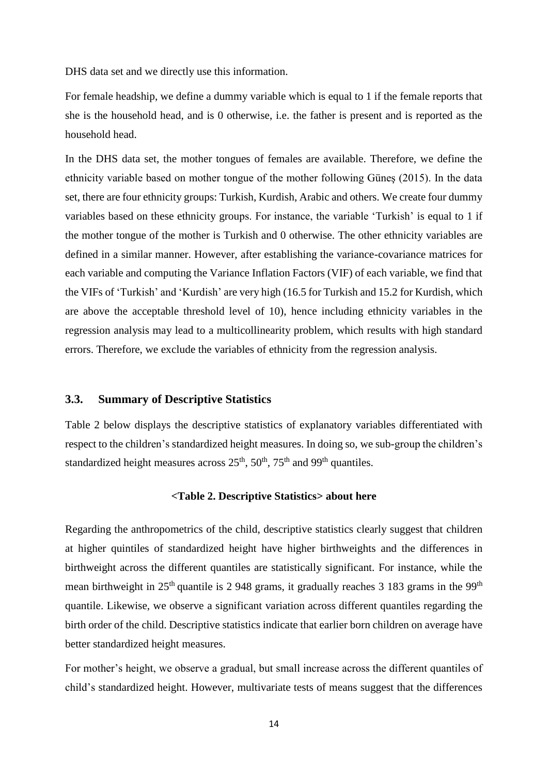DHS data set and we directly use this information.

For female headship, we define a dummy variable which is equal to 1 if the female reports that she is the household head, and is 0 otherwise, i.e. the father is present and is reported as the household head.

In the DHS data set, the mother tongues of females are available. Therefore, we define the ethnicity variable based on mother tongue of the mother following Güneş (2015). In the data set, there are four ethnicity groups: Turkish, Kurdish, Arabic and others. We create four dummy variables based on these ethnicity groups. For instance, the variable 'Turkish' is equal to 1 if the mother tongue of the mother is Turkish and 0 otherwise. The other ethnicity variables are defined in a similar manner. However, after establishing the variance-covariance matrices for each variable and computing the Variance Inflation Factors (VIF) of each variable, we find that the VIFs of 'Turkish' and 'Kurdish' are very high (16.5 for Turkish and 15.2 for Kurdish, which are above the acceptable threshold level of 10), hence including ethnicity variables in the regression analysis may lead to a multicollinearity problem, which results with high standard errors. Therefore, we exclude the variables of ethnicity from the regression analysis.

#### **3.3. Summary of Descriptive Statistics**

Table 2 below displays the descriptive statistics of explanatory variables differentiated with respect to the children's standardized height measures. In doing so, we sub-group the children's standardized height measures across  $25<sup>th</sup>$ ,  $50<sup>th</sup>$ ,  $75<sup>th</sup>$  and 99<sup>th</sup> quantiles.

#### **<Table 2. Descriptive Statistics> about here**

Regarding the anthropometrics of the child, descriptive statistics clearly suggest that children at higher quintiles of standardized height have higher birthweights and the differences in birthweight across the different quantiles are statistically significant. For instance, while the mean birthweight in  $25<sup>th</sup>$  quantile is 2 948 grams, it gradually reaches 3 183 grams in the 99<sup>th</sup> quantile. Likewise, we observe a significant variation across different quantiles regarding the birth order of the child. Descriptive statistics indicate that earlier born children on average have better standardized height measures.

For mother's height, we observe a gradual, but small increase across the different quantiles of child's standardized height. However, multivariate tests of means suggest that the differences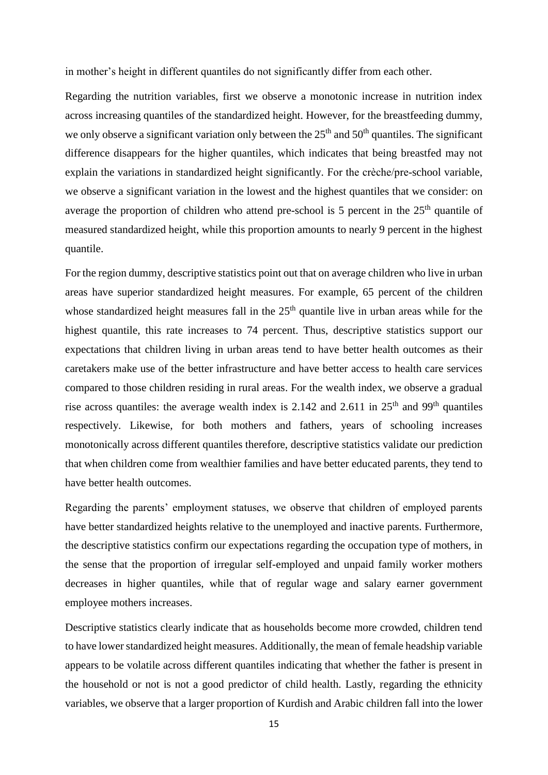in mother's height in different quantiles do not significantly differ from each other.

Regarding the nutrition variables, first we observe a monotonic increase in nutrition index across increasing quantiles of the standardized height. However, for the breastfeeding dummy, we only observe a significant variation only between the  $25<sup>th</sup>$  and  $50<sup>th</sup>$  quantiles. The significant difference disappears for the higher quantiles, which indicates that being breastfed may not explain the variations in standardized height significantly. For the crèche/pre-school variable, we observe a significant variation in the lowest and the highest quantiles that we consider: on average the proportion of children who attend pre-school is 5 percent in the  $25<sup>th</sup>$  quantile of measured standardized height, while this proportion amounts to nearly 9 percent in the highest quantile.

For the region dummy, descriptive statistics point out that on average children who live in urban areas have superior standardized height measures. For example, 65 percent of the children whose standardized height measures fall in the  $25<sup>th</sup>$  quantile live in urban areas while for the highest quantile, this rate increases to 74 percent. Thus, descriptive statistics support our expectations that children living in urban areas tend to have better health outcomes as their caretakers make use of the better infrastructure and have better access to health care services compared to those children residing in rural areas. For the wealth index, we observe a gradual rise across quantiles: the average wealth index is 2.142 and 2.611 in  $25<sup>th</sup>$  and 99<sup>th</sup> quantiles respectively. Likewise, for both mothers and fathers, years of schooling increases monotonically across different quantiles therefore, descriptive statistics validate our prediction that when children come from wealthier families and have better educated parents, they tend to have better health outcomes.

Regarding the parents' employment statuses, we observe that children of employed parents have better standardized heights relative to the unemployed and inactive parents. Furthermore, the descriptive statistics confirm our expectations regarding the occupation type of mothers, in the sense that the proportion of irregular self-employed and unpaid family worker mothers decreases in higher quantiles, while that of regular wage and salary earner government employee mothers increases.

Descriptive statistics clearly indicate that as households become more crowded, children tend to have lower standardized height measures. Additionally, the mean of female headship variable appears to be volatile across different quantiles indicating that whether the father is present in the household or not is not a good predictor of child health. Lastly, regarding the ethnicity variables, we observe that a larger proportion of Kurdish and Arabic children fall into the lower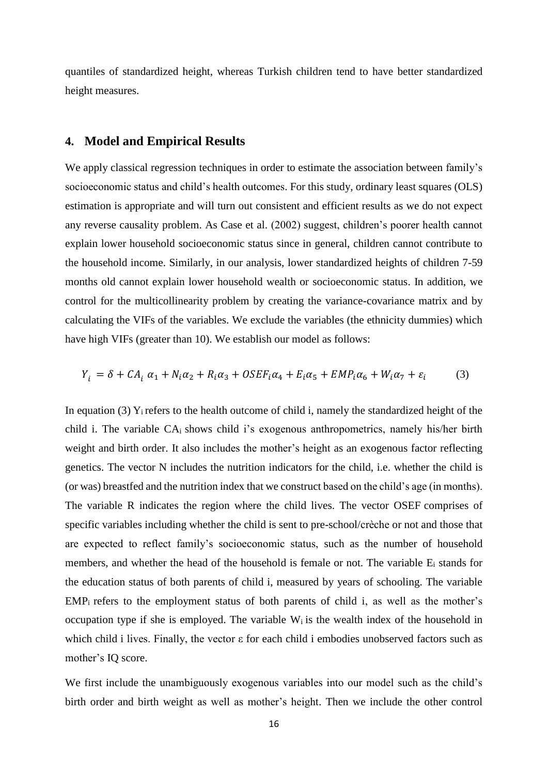quantiles of standardized height, whereas Turkish children tend to have better standardized height measures.

#### **4. Model and Empirical Results**

We apply classical regression techniques in order to estimate the association between family's socioeconomic status and child's health outcomes. For this study, ordinary least squares (OLS) estimation is appropriate and will turn out consistent and efficient results as we do not expect any reverse causality problem. As Case et al. (2002) suggest, children's poorer health cannot explain lower household socioeconomic status since in general, children cannot contribute to the household income. Similarly, in our analysis, lower standardized heights of children 7-59 months old cannot explain lower household wealth or socioeconomic status. In addition, we control for the multicollinearity problem by creating the variance-covariance matrix and by calculating the VIFs of the variables. We exclude the variables (the ethnicity dummies) which have high VIFs (greater than 10). We establish our model as follows:

$$
Y_i = \delta + CA_i \alpha_1 + N_i \alpha_2 + R_i \alpha_3 + OSEF_i \alpha_4 + E_i \alpha_5 + EMP_i \alpha_6 + W_i \alpha_7 + \varepsilon_i \tag{3}
$$

In equation (3)  $Y_i$  refers to the health outcome of child i, namely the standardized height of the child i. The variable CAi shows child i's exogenous anthropometrics, namely his/her birth weight and birth order. It also includes the mother's height as an exogenous factor reflecting genetics. The vector N includes the nutrition indicators for the child, i.e. whether the child is (or was) breastfed and the nutrition index that we construct based on the child's age (in months). The variable R indicates the region where the child lives. The vector OSEF comprises of specific variables including whether the child is sent to pre-school/crèche or not and those that are expected to reflect family's socioeconomic status, such as the number of household members, and whether the head of the household is female or not. The variable  $E_i$  stands for the education status of both parents of child i, measured by years of schooling. The variable  $EMP<sub>i</sub>$  refers to the employment status of both parents of child i, as well as the mother's occupation type if she is employed. The variable  $W_i$  is the wealth index of the household in which child i lives. Finally, the vector ε for each child i embodies unobserved factors such as mother's IQ score.

We first include the unambiguously exogenous variables into our model such as the child's birth order and birth weight as well as mother's height. Then we include the other control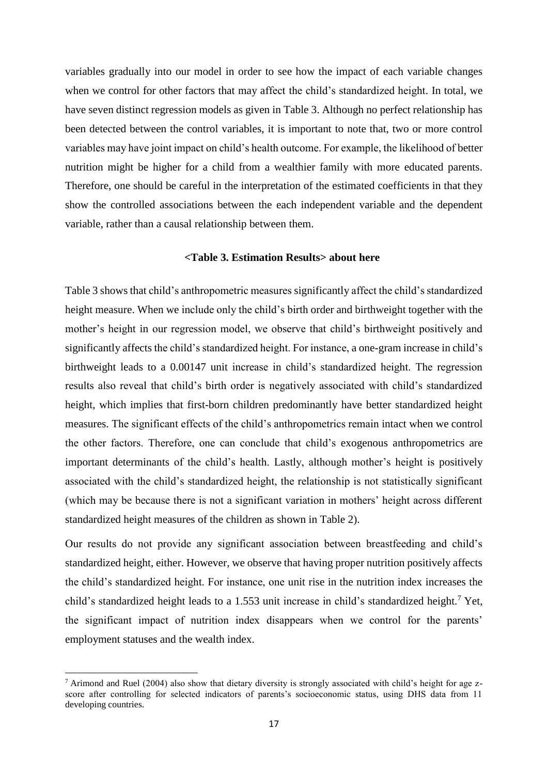variables gradually into our model in order to see how the impact of each variable changes when we control for other factors that may affect the child's standardized height. In total, we have seven distinct regression models as given in Table 3. Although no perfect relationship has been detected between the control variables, it is important to note that, two or more control variables may have joint impact on child's health outcome. For example, the likelihood of better nutrition might be higher for a child from a wealthier family with more educated parents. Therefore, one should be careful in the interpretation of the estimated coefficients in that they show the controlled associations between the each independent variable and the dependent variable, rather than a causal relationship between them.

#### **<Table 3. Estimation Results> about here**

Table 3 shows that child's anthropometric measures significantly affect the child's standardized height measure. When we include only the child's birth order and birthweight together with the mother's height in our regression model, we observe that child's birthweight positively and significantly affects the child's standardized height. For instance, a one-gram increase in child's birthweight leads to a 0.00147 unit increase in child's standardized height. The regression results also reveal that child's birth order is negatively associated with child's standardized height, which implies that first-born children predominantly have better standardized height measures. The significant effects of the child's anthropometrics remain intact when we control the other factors. Therefore, one can conclude that child's exogenous anthropometrics are important determinants of the child's health. Lastly, although mother's height is positively associated with the child's standardized height, the relationship is not statistically significant (which may be because there is not a significant variation in mothers' height across different standardized height measures of the children as shown in Table 2).

Our results do not provide any significant association between breastfeeding and child's standardized height, either. However, we observe that having proper nutrition positively affects the child's standardized height. For instance, one unit rise in the nutrition index increases the child's standardized height leads to a 1.553 unit increase in child's standardized height.<sup>7</sup> Yet, the significant impact of nutrition index disappears when we control for the parents' employment statuses and the wealth index.

1

<sup>&</sup>lt;sup>7</sup> Arimond and Ruel (2004) also show that dietary diversity is strongly associated with child's height for age zscore after controlling for selected indicators of parents's socioeconomic status, using DHS data from 11 developing countries.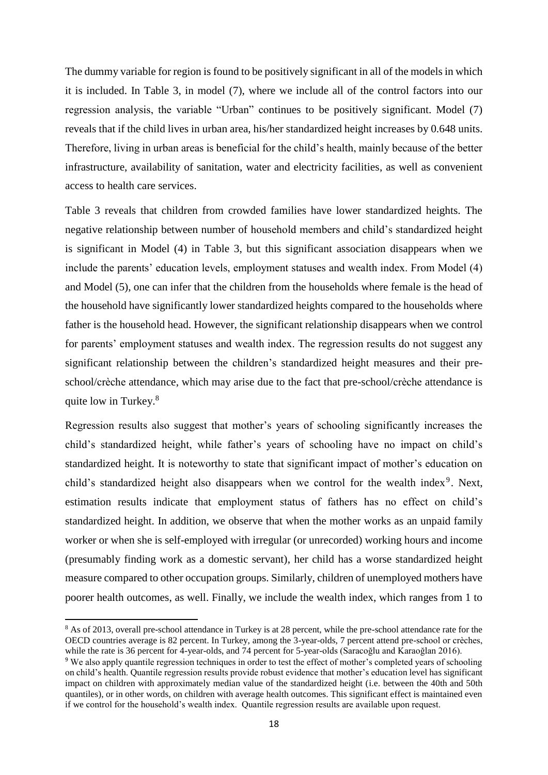The dummy variable for region is found to be positively significant in all of the models in which it is included. In Table 3, in model (7), where we include all of the control factors into our regression analysis, the variable "Urban" continues to be positively significant. Model (7) reveals that if the child lives in urban area, his/her standardized height increases by 0.648 units. Therefore, living in urban areas is beneficial for the child's health, mainly because of the better infrastructure, availability of sanitation, water and electricity facilities, as well as convenient access to health care services.

Table 3 reveals that children from crowded families have lower standardized heights. The negative relationship between number of household members and child's standardized height is significant in Model (4) in Table 3, but this significant association disappears when we include the parents' education levels, employment statuses and wealth index. From Model (4) and Model (5), one can infer that the children from the households where female is the head of the household have significantly lower standardized heights compared to the households where father is the household head. However, the significant relationship disappears when we control for parents' employment statuses and wealth index. The regression results do not suggest any significant relationship between the children's standardized height measures and their preschool/crèche attendance, which may arise due to the fact that pre-school/crèche attendance is quite low in Turkey.<sup>8</sup>

Regression results also suggest that mother's years of schooling significantly increases the child's standardized height, while father's years of schooling have no impact on child's standardized height. It is noteworthy to state that significant impact of mother's education on child's standardized height also disappears when we control for the wealth index<sup>9</sup>. Next, estimation results indicate that employment status of fathers has no effect on child's standardized height. In addition, we observe that when the mother works as an unpaid family worker or when she is self-employed with irregular (or unrecorded) working hours and income (presumably finding work as a domestic servant), her child has a worse standardized height measure compared to other occupation groups. Similarly, children of unemployed mothers have poorer health outcomes, as well. Finally, we include the wealth index, which ranges from 1 to

1

<sup>&</sup>lt;sup>8</sup> As of 2013, overall pre-school attendance in Turkey is at 28 percent, while the pre-school attendance rate for the OECD countries average is 82 percent. In Turkey, among the 3-year-olds, 7 percent attend pre-school or crèches, while the rate is 36 percent for 4-year-olds, and 74 percent for 5-year-olds (Saracoğlu and Karaoğlan 2016).

<sup>9</sup> We also apply quantile regression techniques in order to test the effect of mother's completed years of schooling on child's health. Quantile regression results provide robust evidence that mother's education level has significant impact on children with approximately median value of the standardized height (i.e. between the 40th and 50th quantiles), or in other words, on children with average health outcomes. This significant effect is maintained even if we control for the household's wealth index. Quantile regression results are available upon request.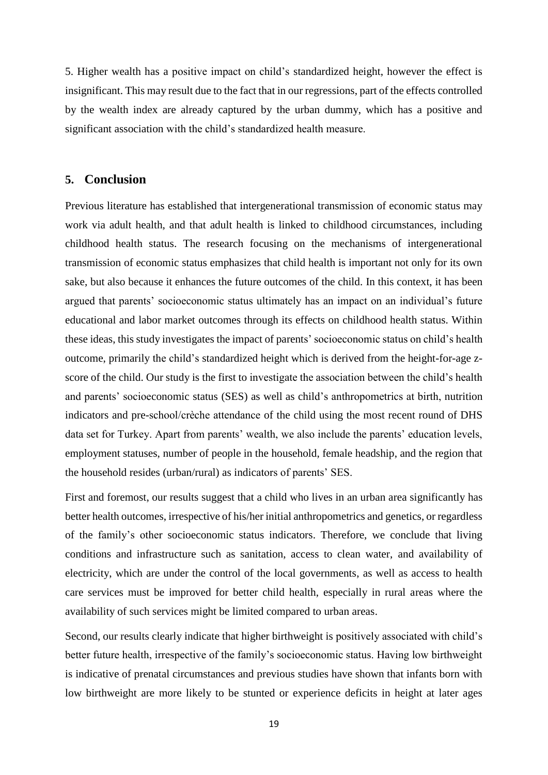5. Higher wealth has a positive impact on child's standardized height, however the effect is insignificant. This may result due to the fact that in our regressions, part of the effects controlled by the wealth index are already captured by the urban dummy, which has a positive and significant association with the child's standardized health measure.

### **5. Conclusion**

Previous literature has established that intergenerational transmission of economic status may work via adult health, and that adult health is linked to childhood circumstances, including childhood health status. The research focusing on the mechanisms of intergenerational transmission of economic status emphasizes that child health is important not only for its own sake, but also because it enhances the future outcomes of the child. In this context, it has been argued that parents' socioeconomic status ultimately has an impact on an individual's future educational and labor market outcomes through its effects on childhood health status. Within these ideas, this study investigates the impact of parents' socioeconomic status on child's health outcome, primarily the child's standardized height which is derived from the height-for-age zscore of the child. Our study is the first to investigate the association between the child's health and parents' socioeconomic status (SES) as well as child's anthropometrics at birth, nutrition indicators and pre-school/crèche attendance of the child using the most recent round of DHS data set for Turkey. Apart from parents' wealth, we also include the parents' education levels, employment statuses, number of people in the household, female headship, and the region that the household resides (urban/rural) as indicators of parents' SES.

First and foremost, our results suggest that a child who lives in an urban area significantly has better health outcomes, irrespective of his/her initial anthropometrics and genetics, or regardless of the family's other socioeconomic status indicators. Therefore, we conclude that living conditions and infrastructure such as sanitation, access to clean water, and availability of electricity, which are under the control of the local governments, as well as access to health care services must be improved for better child health, especially in rural areas where the availability of such services might be limited compared to urban areas.

Second, our results clearly indicate that higher birthweight is positively associated with child's better future health, irrespective of the family's socioeconomic status. Having low birthweight is indicative of prenatal circumstances and previous studies have shown that infants born with low birthweight are more likely to be stunted or experience deficits in height at later ages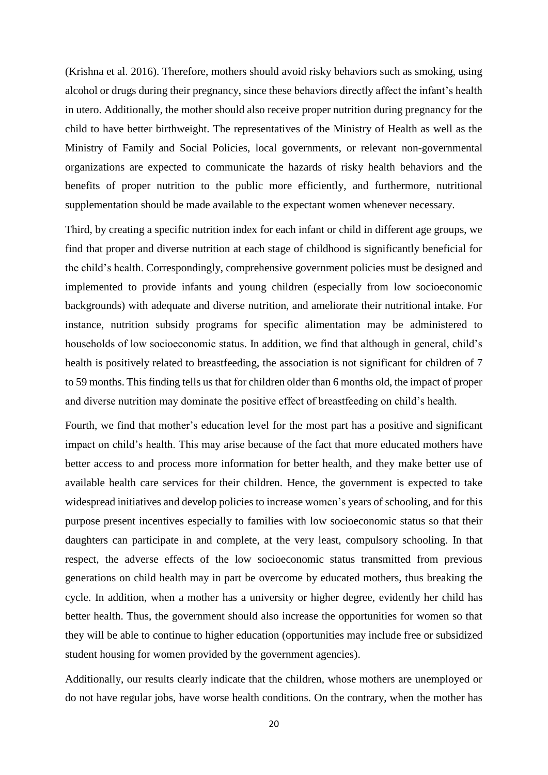(Krishna et al. 2016). Therefore, mothers should avoid risky behaviors such as smoking, using alcohol or drugs during their pregnancy, since these behaviors directly affect the infant's health in utero. Additionally, the mother should also receive proper nutrition during pregnancy for the child to have better birthweight. The representatives of the Ministry of Health as well as the Ministry of Family and Social Policies, local governments, or relevant non-governmental organizations are expected to communicate the hazards of risky health behaviors and the benefits of proper nutrition to the public more efficiently, and furthermore, nutritional supplementation should be made available to the expectant women whenever necessary.

Third, by creating a specific nutrition index for each infant or child in different age groups, we find that proper and diverse nutrition at each stage of childhood is significantly beneficial for the child's health. Correspondingly, comprehensive government policies must be designed and implemented to provide infants and young children (especially from low socioeconomic backgrounds) with adequate and diverse nutrition, and ameliorate their nutritional intake. For instance, nutrition subsidy programs for specific alimentation may be administered to households of low socioeconomic status. In addition, we find that although in general, child's health is positively related to breastfeeding, the association is not significant for children of 7 to 59 months. This finding tells us that for children older than 6 months old, the impact of proper and diverse nutrition may dominate the positive effect of breastfeeding on child's health.

Fourth, we find that mother's education level for the most part has a positive and significant impact on child's health. This may arise because of the fact that more educated mothers have better access to and process more information for better health, and they make better use of available health care services for their children. Hence, the government is expected to take widespread initiatives and develop policies to increase women's years of schooling, and for this purpose present incentives especially to families with low socioeconomic status so that their daughters can participate in and complete, at the very least, compulsory schooling. In that respect, the adverse effects of the low socioeconomic status transmitted from previous generations on child health may in part be overcome by educated mothers, thus breaking the cycle. In addition, when a mother has a university or higher degree, evidently her child has better health. Thus, the government should also increase the opportunities for women so that they will be able to continue to higher education (opportunities may include free or subsidized student housing for women provided by the government agencies).

Additionally, our results clearly indicate that the children, whose mothers are unemployed or do not have regular jobs, have worse health conditions. On the contrary, when the mother has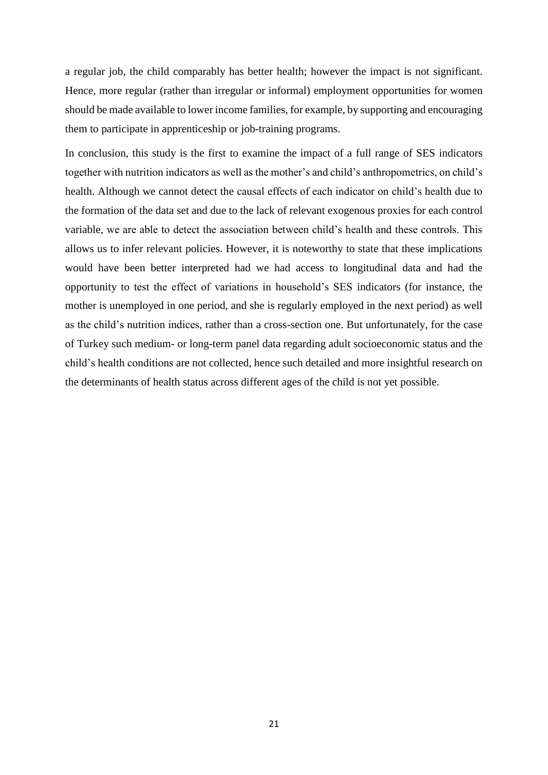a regular job, the child comparably has better health; however the impact is not significant. Hence, more regular (rather than irregular or informal) employment opportunities for women should be made available to lower income families, for example, by supporting and encouraging them to participate in apprenticeship or job-training programs.

In conclusion, this study is the first to examine the impact of a full range of SES indicators together with nutrition indicators as well as the mother's and child's anthropometrics, on child's health. Although we cannot detect the causal effects of each indicator on child's health due to the formation of the data set and due to the lack of relevant exogenous proxies for each control variable, we are able to detect the association between child's health and these controls. This allows us to infer relevant policies. However, it is noteworthy to state that these implications would have been better interpreted had we had access to longitudinal data and had the opportunity to test the effect of variations in household's SES indicators (for instance, the mother is unemployed in one period, and she is regularly employed in the next period) as well as the child's nutrition indices, rather than a cross-section one. But unfortunately, for the case of Turkey such medium- or long-term panel data regarding adult socioeconomic status and the child's health conditions are not collected, hence such detailed and more insightful research on the determinants of health status across different ages of the child is not yet possible.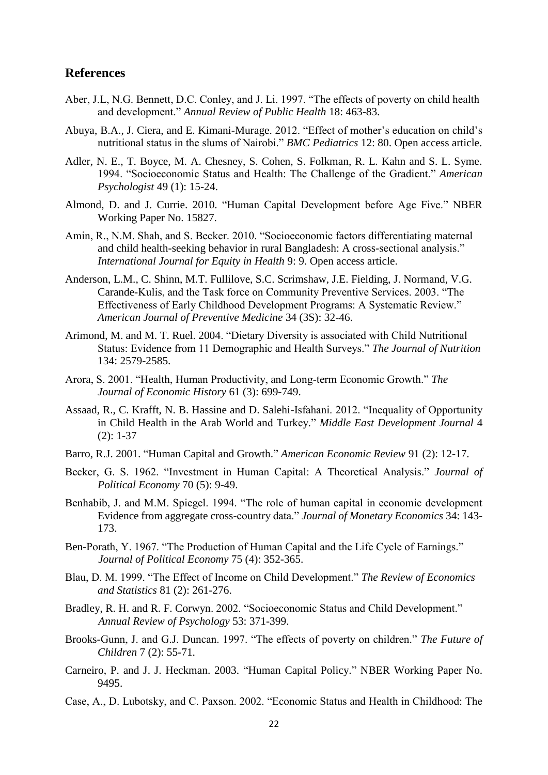#### **References**

- Aber, J.L, N.G. Bennett, D.C. Conley, and J. Li. 1997. "The effects of poverty on child health and development." *Annual Review of Public Health* 18: 463-83.
- Abuya, B.A., J. Ciera, and E. Kimani-Murage. 2012. "Effect of mother's education on child's nutritional status in the slums of Nairobi." *BMC Pediatrics* 12: 80. Open access article.
- Adler, N. E., T. Boyce, M. A. Chesney, S. Cohen, S. Folkman, R. L. Kahn and S. L. Syme. 1994. "Socioeconomic Status and Health: The Challenge of the Gradient." *American Psychologist* 49 (1): 15-24.
- Almond, D. and J. Currie. 2010. "Human Capital Development before Age Five." NBER Working Paper No. 15827.
- Amin, R., N.M. Shah, and S. Becker. 2010. "Socioeconomic factors differentiating maternal and child health-seeking behavior in rural Bangladesh: A cross-sectional analysis." *International Journal for Equity in Health* 9: 9. Open access article.
- Anderson, L.M., C. Shinn, M.T. Fullilove, S.C. Scrimshaw, J.E. Fielding, J. Normand, V.G. Carande-Kulis, and the Task force on Community Preventive Services. 2003. "The Effectiveness of Early Childhood Development Programs: A Systematic Review." *American Journal of Preventive Medicine* 34 (3S): 32-46.
- Arimond, M. and M. T. Ruel. 2004. "Dietary Diversity is associated with Child Nutritional Status: Evidence from 11 Demographic and Health Surveys." *The Journal of Nutrition* 134: 2579-2585.
- Arora, S. 2001. "Health, Human Productivity, and Long-term Economic Growth." *The Journal of Economic History* 61 (3): 699-749.
- Assaad, R., C. Krafft, N. B. Hassine and D. Salehi-Isfahani. 2012. "Inequality of Opportunity in Child Health in the Arab World and Turkey." *Middle East Development Journal* 4 (2): 1-37
- Barro, R.J. 2001. "Human Capital and Growth." *American Economic Review* 91 (2): 12-17.
- Becker, G. S. 1962. "Investment in Human Capital: A Theoretical Analysis." *Journal of Political Economy* 70 (5): 9-49.
- Benhabib, J. and M.M. Spiegel. 1994. "The role of human capital in economic development Evidence from aggregate cross-country data." *Journal of Monetary Economics* 34: 143- 173.
- Ben-Porath, Y. 1967. "The Production of Human Capital and the Life Cycle of Earnings." *Journal of Political Economy* 75 (4): 352-365.
- Blau, D. M. 1999. "The Effect of Income on Child Development." *The Review of Economics and Statistics* 81 (2): 261-276.
- Bradley, R. H. and R. F. Corwyn. 2002. "Socioeconomic Status and Child Development." *Annual Review of Psychology* 53: 371-399.
- Brooks-Gunn, J. and G.J. Duncan. 1997. "The effects of poverty on children." *The Future of Children* 7 (2): 55-71.
- Carneiro, P. and J. J. Heckman. 2003. "Human Capital Policy." NBER Working Paper No. 9495.
- Case, A., D. Lubotsky, and C. Paxson. 2002. "Economic Status and Health in Childhood: The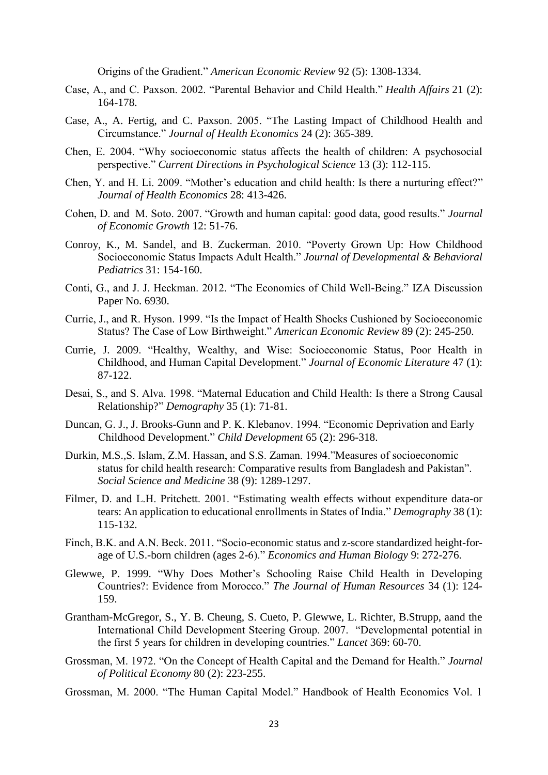Origins of the Gradient." *American Economic Review* 92 (5): 1308-1334.

- Case, A., and C. Paxson. 2002. "Parental Behavior and Child Health." *Health Affairs* 21 (2): 164-178.
- Case, A., A. Fertig, and C. Paxson. 2005. "The Lasting Impact of Childhood Health and Circumstance." *Journal of Health Economics* 24 (2): 365-389.
- Chen, E. 2004. "Why socioeconomic status affects the health of children: A psychosocial perspective." *Current Directions in Psychological Science* 13 (3): 112-115.
- Chen, Y. and H. Li. 2009. "Mother's education and child health: Is there a nurturing effect?" *Journal of Health Economics* 28: 413-426.
- Cohen, D. and M. Soto. 2007. "Growth and human capital: good data, good results." *Journal of Economic Growth* 12: 51-76.
- Conroy, K., M. Sandel, and B. Zuckerman. 2010. "Poverty Grown Up: How Childhood Socioeconomic Status Impacts Adult Health." *Journal of Developmental & Behavioral Pediatrics* 31: 154-160.
- Conti, G., and J. J. Heckman. 2012. "The Economics of Child Well-Being." IZA Discussion Paper No. 6930.
- Currie, J., and R. Hyson. 1999. "Is the Impact of Health Shocks Cushioned by Socioeconomic Status? The Case of Low Birthweight." *American Economic Review* 89 (2): 245-250.
- Currie, J. 2009. "Healthy, Wealthy, and Wise: Socioeconomic Status, Poor Health in Childhood, and Human Capital Development." *Journal of Economic Literature* 47 (1): 87-122.
- Desai, S., and S. Alva. 1998. "Maternal Education and Child Health: Is there a Strong Causal Relationship?" *Demography* 35 (1): 71-81.
- Duncan, G. J., J. Brooks-Gunn and P. K. Klebanov. 1994. "Economic Deprivation and Early Childhood Development." *Child Development* 65 (2): 296-318.
- Durkin, M.S.,S. Islam, Z.M. Hassan, and S.S. Zaman. 1994."Measures of socioeconomic status for child health research: Comparative results from Bangladesh and Pakistan". *Social Science and Medicine* 38 (9): 1289-1297.
- Filmer, D. and L.H. Pritchett. 2001. "Estimating wealth effects without expenditure data-or tears: An application to educational enrollments in States of India." *Demography* 38 (1): 115-132.
- Finch, B.K. and A.N. Beck. 2011. "Socio-economic status and z-score standardized height-forage of U.S.-born children (ages 2-6)." *Economics and Human Biology* 9: 272-276.
- Glewwe, P. 1999. "Why Does Mother's Schooling Raise Child Health in Developing Countries?: Evidence from Morocco." *The Journal of Human Resources* 34 (1): 124- 159.
- Grantham-McGregor, S., Y. B. Cheung, S. Cueto, P. Glewwe, L. Richter, B.Strupp, aand the International Child Development Steering Group. 2007. "Developmental potential in the first 5 years for children in developing countries." *Lancet* 369: 60-70.
- Grossman, M. 1972. "On the Concept of Health Capital and the Demand for Health." *Journal of Political Economy* 80 (2): 223-255.
- Grossman, M. 2000. "The Human Capital Model." Handbook of Health Economics Vol. 1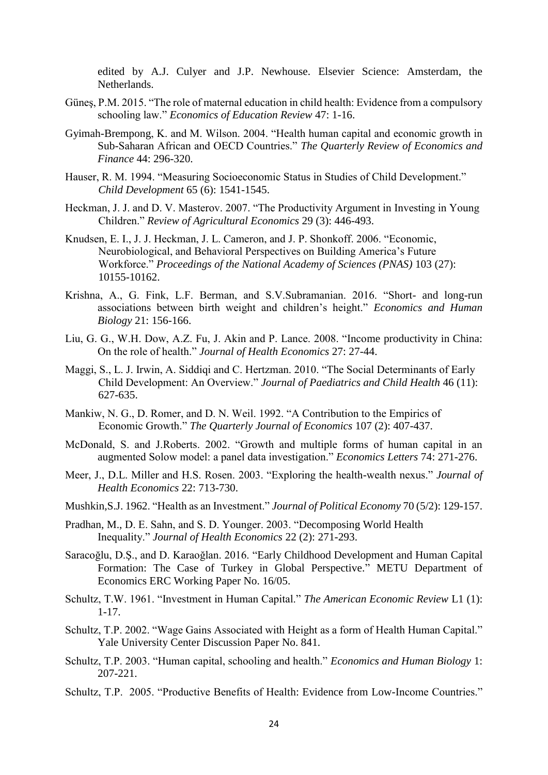edited by A.J. Culyer and J.P. Newhouse. Elsevier Science: Amsterdam, the Netherlands.

- Güneş, P.M. 2015. "The role of maternal education in child health: Evidence from a compulsory schooling law." *Economics of Education Review* 47: 1-16.
- Gyimah-Brempong, K. and M. Wilson. 2004. "Health human capital and economic growth in Sub-Saharan African and OECD Countries." *The Quarterly Review of Economics and Finance* 44: 296-320.
- Hauser, R. M. 1994. "Measuring Socioeconomic Status in Studies of Child Development." *Child Development* 65 (6): 1541-1545.
- Heckman, J. J. and D. V. Masterov. 2007. "The Productivity Argument in Investing in Young Children." *Review of Agricultural Economics* 29 (3): 446-493.
- Knudsen, E. I., J. J. Heckman, J. L. Cameron, and J. P. Shonkoff. 2006. "Economic, Neurobiological, and Behavioral Perspectives on Building America's Future Workforce." *Proceedings of the National Academy of Sciences (PNAS)* 103 (27): 10155-10162.
- Krishna, A., G. Fink, L.F. Berman, and S.V.Subramanian. 2016. "Short- and long-run associations between birth weight and children's height." *Economics and Human Biology* 21: 156-166.
- Liu, G. G., W.H. Dow, A.Z. Fu, J. Akin and P. Lance. 2008. "Income productivity in China: On the role of health." *Journal of Health Economics* 27: 27-44.
- Maggi, S., L. J. Irwin, A. Siddiqi and C. Hertzman. 2010. "The Social Determinants of Early Child Development: An Overview." *Journal of Paediatrics and Child Health* 46 (11): 627-635.
- Mankiw, N. G., D. Romer, and D. N. Weil. 1992. "A Contribution to the Empirics of Economic Growth." *The Quarterly Journal of Economics* 107 (2): 407-437.
- McDonald, S. and J.Roberts. 2002. "Growth and multiple forms of human capital in an augmented Solow model: a panel data investigation." *Economics Letters* 74: 271-276.
- Meer, J., D.L. Miller and H.S. Rosen. 2003. "Exploring the health-wealth nexus." *Journal of Health Economics* 22: 713-730.
- Mushkin,S.J. 1962. "Health as an Investment." *Journal of Political Economy* 70 (5/2): 129-157.
- Pradhan, M., D. E. Sahn, and S. D. Younger. 2003. "Decomposing World Health Inequality." *Journal of Health Economics* 22 (2): 271-293.
- Saracoğlu, D.Ş., and D. Karaoğlan. 2016. "Early Childhood Development and Human Capital Formation: The Case of Turkey in Global Perspective." METU Department of Economics ERC Working Paper No. 16/05.
- Schultz, T.W. 1961. "Investment in Human Capital." *The American Economic Review* L1 (1): 1-17.
- Schultz, T.P. 2002. "Wage Gains Associated with Height as a form of Health Human Capital." Yale University Center Discussion Paper No. 841.
- Schultz, T.P. 2003. "Human capital, schooling and health." *Economics and Human Biology* 1: 207-221.
- Schultz, T.P. 2005. "Productive Benefits of Health: Evidence from Low-Income Countries."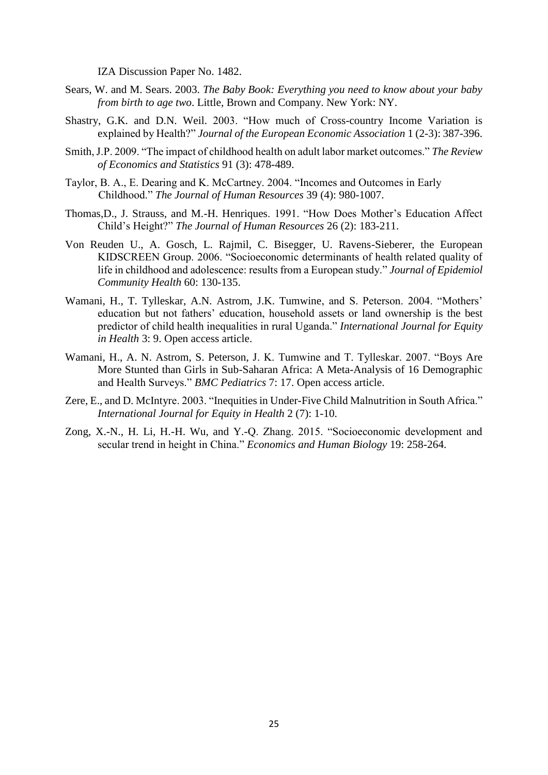IZA Discussion Paper No. 1482.

- Sears, W. and M. Sears. 2003. *The Baby Book: Everything you need to know about your baby from birth to age two*. Little, Brown and Company. New York: NY.
- Shastry, G.K. and D.N. Weil. 2003. "How much of Cross-country Income Variation is explained by Health?" *Journal of the European Economic Association* 1 (2-3): 387-396.
- Smith, J.P. 2009. "The impact of childhood health on adult labor market outcomes." *The Review of Economics and Statistics* 91 (3): 478-489.
- Taylor, B. A., E. Dearing and K. McCartney. 2004. "Incomes and Outcomes in Early Childhood." *The Journal of Human Resources* 39 (4): 980-1007.
- Thomas,D., J. Strauss, and M.-H. Henriques. 1991. "How Does Mother's Education Affect Child's Height?" *The Journal of Human Resources* 26 (2): 183-211.
- Von Reuden U., A. Gosch, L. Rajmil, C. Bisegger, U. Ravens-Sieberer, the European KIDSCREEN Group. 2006. "Socioeconomic determinants of health related quality of life in childhood and adolescence: results from a European study." *Journal of Epidemiol Community Health* 60: 130-135.
- Wamani, H., T. Tylleskar, A.N. Astrom, J.K. Tumwine, and S. Peterson. 2004. "Mothers' education but not fathers' education, household assets or land ownership is the best predictor of child health inequalities in rural Uganda." *International Journal for Equity in Health* 3: 9. Open access article.
- Wamani, H., A. N. Astrom, S. Peterson, J. K. Tumwine and T. Tylleskar. 2007. "Boys Are More Stunted than Girls in Sub-Saharan Africa: A Meta-Analysis of 16 Demographic and Health Surveys." *BMC Pediatrics* 7: 17. Open access article.
- Zere, E., and D. McIntyre. 2003. "Inequities in Under-Five Child Malnutrition in South Africa." *International Journal for Equity in Health* 2 (7): 1-10.
- Zong, X.-N., H. Li, H.-H. Wu, and Y.-Q. Zhang. 2015. "Socioeconomic development and secular trend in height in China." *Economics and Human Biology* 19: 258-264.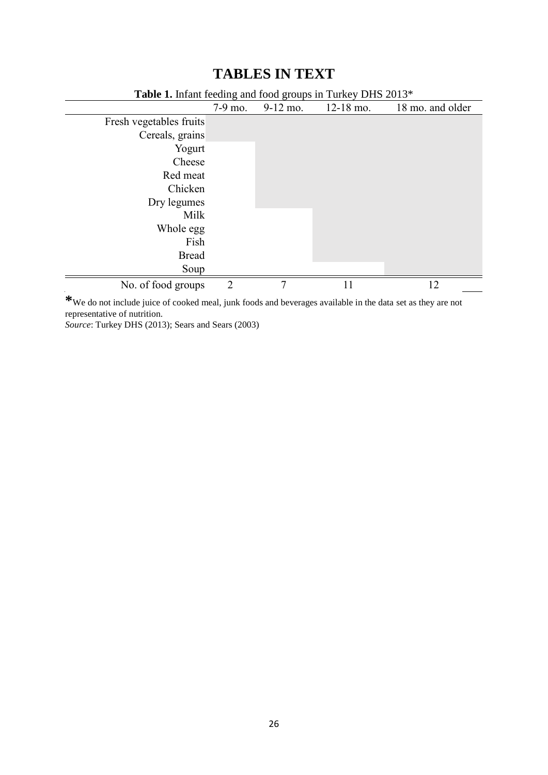## **Table 1.** Infant feeding and food groups in Turkey DHS 2013\* 7-9 mo. 9-12 mo. 12-18 mo. 18 mo. and older Fresh vegetables fruits Cereals, grains Yogurt Cheese Red meat Chicken Dry legumes Milk Whole egg Fish Bread Soup No. of food groups 2 7 11 12

## **TABLES IN TEXT**

**\***We do not include juice of cooked meal, junk foods and beverages available in the data set as they are not representative of nutrition.

*Source*: Turkey DHS (2013); Sears and Sears (2003)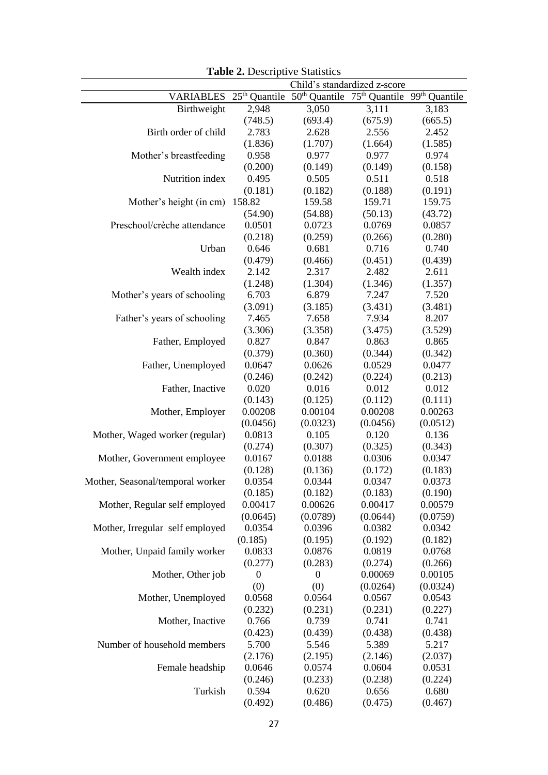|                                  |                                                                                                                   | $\mathbf{F}$ and $\mathbf{F}$ . Beson part of statistics<br>Child's standardized z-score |                  |                  |  |  |
|----------------------------------|-------------------------------------------------------------------------------------------------------------------|------------------------------------------------------------------------------------------|------------------|------------------|--|--|
|                                  | VARIABLES 25 <sup>th</sup> Quantile 50 <sup>th</sup> Quantile 75 <sup>th</sup> Quantile 99 <sup>th</sup> Quantile |                                                                                          |                  |                  |  |  |
| Birthweight                      | 2,948                                                                                                             | 3,050                                                                                    | 3,111            | 3,183            |  |  |
|                                  | (748.5)                                                                                                           | (693.4)                                                                                  | (675.9)          | (665.5)          |  |  |
| Birth order of child             | 2.783                                                                                                             | 2.628                                                                                    | 2.556            | 2.452            |  |  |
|                                  | (1.836)                                                                                                           | (1.707)                                                                                  | (1.664)          | (1.585)          |  |  |
| Mother's breastfeeding           | 0.958                                                                                                             | 0.977                                                                                    | 0.977            | 0.974            |  |  |
|                                  | (0.200)                                                                                                           | (0.149)                                                                                  | (0.149)          | (0.158)          |  |  |
| Nutrition index                  | 0.495                                                                                                             | 0.505                                                                                    | 0.511            | 0.518            |  |  |
|                                  | (0.181)                                                                                                           | (0.182)                                                                                  | (0.188)          | (0.191)          |  |  |
| Mother's height (in cm) 158.82   |                                                                                                                   | 159.58                                                                                   | 159.71           | 159.75           |  |  |
|                                  | (54.90)                                                                                                           | (54.88)                                                                                  | (50.13)          | (43.72)          |  |  |
| Preschool/crèche attendance      | 0.0501                                                                                                            | 0.0723                                                                                   | 0.0769           | 0.0857           |  |  |
|                                  | (0.218)                                                                                                           | (0.259)                                                                                  | (0.266)          | (0.280)          |  |  |
| Urban                            | 0.646                                                                                                             | 0.681                                                                                    | 0.716            | 0.740            |  |  |
|                                  | (0.479)                                                                                                           | (0.466)                                                                                  | (0.451)          | (0.439)          |  |  |
| Wealth index                     | 2.142                                                                                                             | 2.317                                                                                    | 2.482            | 2.611            |  |  |
|                                  | (1.248)                                                                                                           | (1.304)                                                                                  | (1.346)          | (1.357)          |  |  |
| Mother's years of schooling      | 6.703                                                                                                             | 6.879                                                                                    | 7.247            | 7.520            |  |  |
|                                  | (3.091)                                                                                                           | (3.185)                                                                                  | (3.431)          | (3.481)          |  |  |
| Father's years of schooling      | 7.465                                                                                                             | 7.658                                                                                    | 7.934            | 8.207            |  |  |
|                                  | (3.306)                                                                                                           | (3.358)                                                                                  | (3.475)          | (3.529)          |  |  |
| Father, Employed                 | 0.827                                                                                                             | 0.847                                                                                    | 0.863            | 0.865            |  |  |
|                                  | (0.379)                                                                                                           | (0.360)                                                                                  | (0.344)          | (0.342)          |  |  |
| Father, Unemployed               | 0.0647                                                                                                            | 0.0626                                                                                   | 0.0529           | 0.0477           |  |  |
|                                  | (0.246)                                                                                                           | (0.242)                                                                                  | (0.224)          | (0.213)          |  |  |
| Father, Inactive                 | 0.020                                                                                                             | 0.016                                                                                    | 0.012            | 0.012            |  |  |
|                                  | (0.143)                                                                                                           | (0.125)                                                                                  | (0.112)          | (0.111)          |  |  |
| Mother, Employer                 | 0.00208                                                                                                           | 0.00104                                                                                  | 0.00208          | 0.00263          |  |  |
|                                  | (0.0456)                                                                                                          | (0.0323)                                                                                 | (0.0456)         | (0.0512)         |  |  |
| Mother, Waged worker (regular)   | 0.0813                                                                                                            | 0.105                                                                                    | 0.120            | 0.136            |  |  |
|                                  | (0.274)                                                                                                           | (0.307)                                                                                  | (0.325)          | (0.343)          |  |  |
| Mother, Government employee      | 0.0167                                                                                                            | 0.0188                                                                                   | 0.0306           | 0.0347           |  |  |
|                                  | (0.128)                                                                                                           | (0.136)                                                                                  | (0.172)          | (0.183)          |  |  |
| Mother, Seasonal/temporal worker | 0.0354                                                                                                            | 0.0344                                                                                   | 0.0347           | 0.0373           |  |  |
|                                  | (0.185)                                                                                                           | (0.182)                                                                                  | (0.183)          | (0.190)          |  |  |
| Mother, Regular self employed    | 0.00417                                                                                                           | 0.00626                                                                                  | 0.00417          | 0.00579          |  |  |
|                                  | (0.0645)                                                                                                          | (0.0789)                                                                                 | (0.0644)         | (0.0759)         |  |  |
| Mother, Irregular self employed  | 0.0354                                                                                                            | 0.0396                                                                                   | 0.0382           | 0.0342           |  |  |
|                                  | (0.185)                                                                                                           | (0.195)                                                                                  | (0.192)          | (0.182)          |  |  |
| Mother, Unpaid family worker     | 0.0833                                                                                                            | 0.0876                                                                                   | 0.0819           | 0.0768           |  |  |
|                                  | (0.277)                                                                                                           | (0.283)                                                                                  | (0.274)          | (0.266)          |  |  |
| Mother, Other job                | $\boldsymbol{0}$                                                                                                  | $\boldsymbol{0}$                                                                         | 0.00069          | 0.00105          |  |  |
|                                  | (0)                                                                                                               | (0)                                                                                      | (0.0264)         | (0.0324)         |  |  |
| Mother, Unemployed               | 0.0568                                                                                                            | 0.0564                                                                                   | 0.0567           | 0.0543           |  |  |
|                                  | (0.232)                                                                                                           | (0.231)                                                                                  | (0.231)          | (0.227)          |  |  |
| Mother, Inactive                 | 0.766<br>(0.423)                                                                                                  | 0.739<br>(0.439)                                                                         | 0.741<br>(0.438) | 0.741<br>(0.438) |  |  |
| Number of household members      | 5.700                                                                                                             |                                                                                          | 5.389            |                  |  |  |
|                                  | (2.176)                                                                                                           | 5.546<br>(2.195)                                                                         | (2.146)          | 5.217<br>(2.037) |  |  |
| Female headship                  | 0.0646                                                                                                            | 0.0574                                                                                   | 0.0604           | 0.0531           |  |  |
|                                  | (0.246)                                                                                                           | (0.233)                                                                                  | (0.238)          | (0.224)          |  |  |
| Turkish                          | 0.594                                                                                                             | 0.620                                                                                    | 0.656            | 0.680            |  |  |
|                                  | (0.492)                                                                                                           | (0.486)                                                                                  | (0.475)          | (0.467)          |  |  |
|                                  |                                                                                                                   |                                                                                          |                  |                  |  |  |

**Table 2.** Descriptive Statistics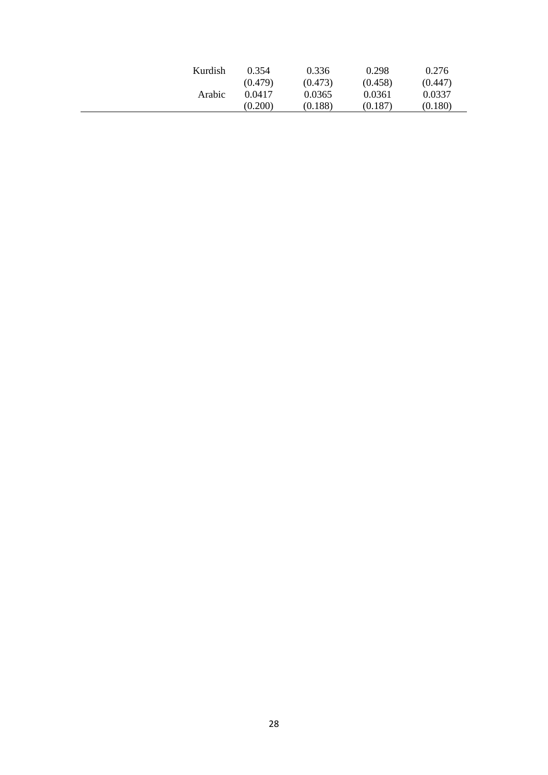| Kurdish | 0.354   | 0.336   | 0.298   | 0.276   |
|---------|---------|---------|---------|---------|
|         | (0.479) | (0.473) | (0.458) | (0.447) |
| Arabic  | 0.0417  | 0.0365  | 0.0361  | 0.0337  |
|         | (0.200) | (0.188) | (0.187) | (0.180) |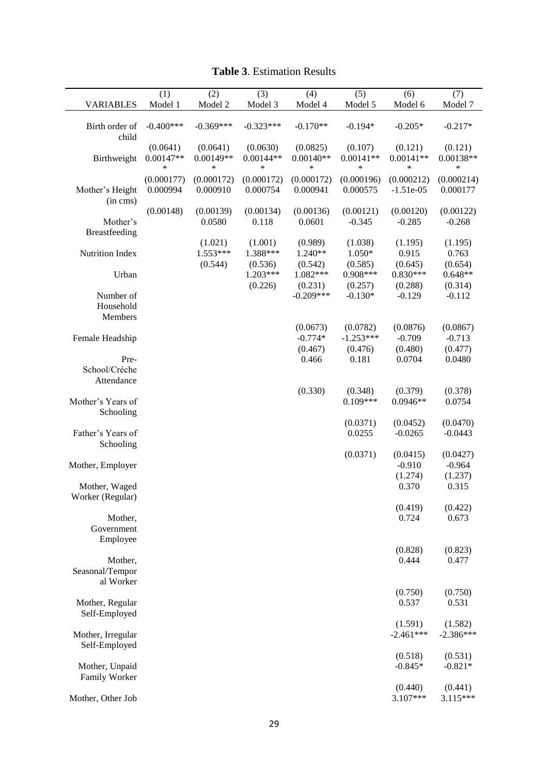| <b>VARIABLES</b>                    | (1)<br>Model 1          | (2)<br>Model 2          | (3)<br>Model 3                 | (4)<br>Model 4                 | (5)<br>Model 5                 | (6)<br>Model 6                   | (7)<br>Model 7                  |
|-------------------------------------|-------------------------|-------------------------|--------------------------------|--------------------------------|--------------------------------|----------------------------------|---------------------------------|
| Birth order of<br>child             | $-0.400***$             | $-0.369***$             | $-0.323***$                    | $-0.170**$                     | $-0.194*$                      | $-0.205*$                        | $-0.217*$                       |
| Birthweight                         | (0.0641)<br>$0.00147**$ | (0.0641)<br>$0.00149**$ | (0.0630)<br>$0.00144**$        | (0.0825)<br>$0.00140**$        | (0.107)<br>$0.00141**$         | (0.121)<br>$0.00141**$           | (0.121)<br>0.00138**            |
|                                     | *                       | $\ast$                  | $\ast$                         | $\ast$                         | *                              | ∗                                | $\ast$                          |
| Mother's Height<br>$(in \, cms)$    | (0.000177)<br>0.000994  | (0.000172)<br>0.000910  | (0.000172)<br>0.000754         | (0.000172)<br>0.000941         | (0.000196)<br>0.000575         | (0.000212)<br>$-1.51e-05$        | (0.000214)<br>0.000177          |
|                                     | (0.00148)               | (0.00139)               | (0.00134)                      | (0.00136)                      | (0.00121)                      | (0.00120)                        | (0.00122)                       |
| Mother's<br>Breastfeeding           |                         | 0.0580                  | 0.118                          | 0.0601                         | $-0.345$                       | $-0.285$                         | $-0.268$                        |
| Nutrition Index                     |                         | (1.021)<br>$1.553***$   | (1.001)<br>1.388***            | (0.989)<br>1.240**             | (1.038)<br>$1.050*$<br>(0.585) | (1.195)<br>0.915                 | (1.195)<br>0.763                |
| Urban                               |                         | (0.544)                 | (0.536)<br>1.203***<br>(0.226) | (0.542)<br>1.082***<br>(0.231) | 0.908***<br>(0.257)            | (0.645)<br>$0.830***$<br>(0.288) | (0.654)<br>$0.648**$<br>(0.314) |
| Number of<br>Household              |                         |                         |                                | $-0.209***$                    | $-0.130*$                      | $-0.129$                         | $-0.112$                        |
| Members                             |                         |                         |                                | (0.0673)                       | (0.0782)                       | (0.0876)                         | (0.0867)                        |
| Female Headship                     |                         |                         |                                | $-0.774*$                      | $-1.253***$                    | $-0.709$                         | $-0.713$                        |
|                                     |                         |                         |                                | (0.467)                        | (0.476)                        | (0.480)                          | (0.477)                         |
| Pre-<br>School/Créche<br>Attendance |                         |                         |                                | 0.466                          | 0.181                          | 0.0704                           | 0.0480                          |
|                                     |                         |                         |                                | (0.330)                        | (0.348)                        | (0.379)                          | (0.378)                         |
| Mother's Years of<br>Schooling      |                         |                         |                                |                                | $0.109***$                     | $0.0946**$                       | 0.0754                          |
| Father's Years of<br>Schooling      |                         |                         |                                |                                | (0.0371)<br>0.0255             | (0.0452)<br>$-0.0265$            | (0.0470)<br>$-0.0443$           |
|                                     |                         |                         |                                |                                | (0.0371)                       | (0.0415)                         | (0.0427)                        |
| Mother, Employer                    |                         |                         |                                |                                |                                | $-0.910$                         | $-0.964$                        |
| Mother, Waged                       |                         |                         |                                |                                |                                | (1.274)<br>0.370                 | (1.237)<br>0.315                |
| Worker (Regular)                    |                         |                         |                                |                                |                                |                                  |                                 |
|                                     |                         |                         |                                |                                |                                | (0.419)                          | (0.422)                         |
| Mother,<br>Government<br>Employee   |                         |                         |                                |                                |                                | 0.724                            | 0.673                           |
|                                     |                         |                         |                                |                                |                                | (0.828)                          | (0.823)                         |
| Mother,<br>Seasonal/Tempor          |                         |                         |                                |                                |                                | 0.444                            | 0.477                           |
| al Worker                           |                         |                         |                                |                                |                                | (0.750)                          | (0.750)                         |
| Mother, Regular<br>Self-Employed    |                         |                         |                                |                                |                                | 0.537                            | 0.531                           |
|                                     |                         |                         |                                |                                |                                | (1.591)                          | (1.582)                         |
| Mother, Irregular<br>Self-Employed  |                         |                         |                                |                                |                                | $-2.461***$                      | $-2.386***$                     |
| Mother, Unpaid                      |                         |                         |                                |                                |                                | (0.518)<br>$-0.845*$             | (0.531)<br>$-0.821*$            |
| Family Worker                       |                         |                         |                                |                                |                                |                                  |                                 |
| Mother, Other Job                   |                         |                         |                                |                                |                                | (0.440)<br>$3.107***$            | (0.441)<br>$3.115***$           |

## **Table 3**. Estimation Results